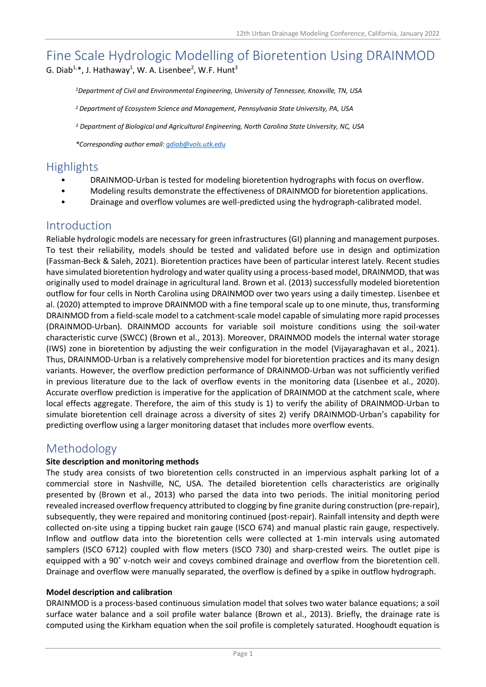# Fine Scale Hydrologic Modelling of Bioretention Using DRAINMOD G. Diab<sup>1,\*</sup>, J. Hathaway<sup>1</sup>, W. A. Lisenbee<sup>2</sup>, W.F. Hunt<sup>3</sup>

*<sup>1</sup>Department of Civil and Environmental Engineering, University of Tennessee, Knoxville, TN, USA*

*<sup>2</sup> [Department of Ecosystem Science and Management,](https://ecosystems.psu.edu/) Pennsylvania State University, PA, USA*

*<sup>3</sup> Department of Biological and Agricultural Engineering, North Carolina State University, NC, USA*

*\*Corresponding author email[: gdiab@vols.utk.edu](mailto:gdiab@vols.utk.edu)*

# **Highlights**

- DRAINMOD-Urban is tested for modeling bioretention hydrographs with focus on overflow.
- Modeling results demonstrate the effectiveness of DRAINMOD for bioretention applications.
- Drainage and overflow volumes are well-predicted using the hydrograph-calibrated model.

## Introduction

Reliable hydrologic models are necessary for green infrastructures (GI) planning and management purposes. To test their reliability, models should be tested and validated before use in design and optimization (Fassman-Beck & Saleh, 2021). Bioretention practices have been of particular interest lately. Recent studies have simulated bioretention hydrology and water quality using a process-based model, DRAINMOD, that was originally used to model drainage in agricultural land. Brown et al. (2013) successfully modeled bioretention outflow for four cells in North Carolina using DRAINMOD over two years using a daily timestep. Lisenbee et al. (2020) attempted to improve DRAINMOD with a fine temporal scale up to one minute, thus, transforming DRAINMOD from a field-scale model to a catchment-scale model capable of simulating more rapid processes (DRAINMOD-Urban). DRAINMOD accounts for variable soil moisture conditions using the soil-water characteristic curve (SWCC) (Brown et al., 2013). Moreover, DRAINMOD models the internal water storage (IWS) zone in bioretention by adjusting the weir configuration in the model (Vijayaraghavan et al., 2021). Thus, DRAINMOD-Urban is a relatively comprehensive model for bioretention practices and its many design variants. However, the overflow prediction performance of DRAINMOD-Urban was not sufficiently verified in previous literature due to the lack of overflow events in the monitoring data (Lisenbee et al., 2020). Accurate overflow prediction is imperative for the application of DRAINMOD at the catchment scale, where local effects aggregate. Therefore, the aim of this study is 1) to verify the ability of DRAINMOD-Urban to simulate bioretention cell drainage across a diversity of sites 2) verify DRAINMOD-Urban's capability for predicting overflow using a larger monitoring dataset that includes more overflow events.

# Methodology

### **Site description and monitoring methods**

The study area consists of two bioretention cells constructed in an impervious asphalt parking lot of a commercial store in Nashville, NC, USA. The detailed bioretention cells characteristics are originally presented by (Brown et al., 2013) who parsed the data into two periods. The initial monitoring period revealed increased overflow frequency attributed to clogging by fine granite during construction (pre-repair), subsequently, they were repaired and monitoring continued (post-repair). Rainfall intensity and depth were collected on-site using a tipping bucket rain gauge (ISCO 674) and manual plastic rain gauge, respectively. Inflow and outflow data into the bioretention cells were collected at 1-min intervals using automated samplers (ISCO 6712) coupled with flow meters (ISCO 730) and sharp-crested weirs. The outlet pipe is equipped with a 90˚ v-notch weir and coveys combined drainage and overflow from the bioretention cell. Drainage and overflow were manually separated, the overflow is defined by a spike in outflow hydrograph.

### **Model description and calibration**

DRAINMOD is a process-based continuous simulation model that solves two water balance equations; a soil surface water balance and a soil profile water balance (Brown et al., 2013). Briefly, the drainage rate is computed using the Kirkham equation when the soil profile is completely saturated. Hooghoudt equation is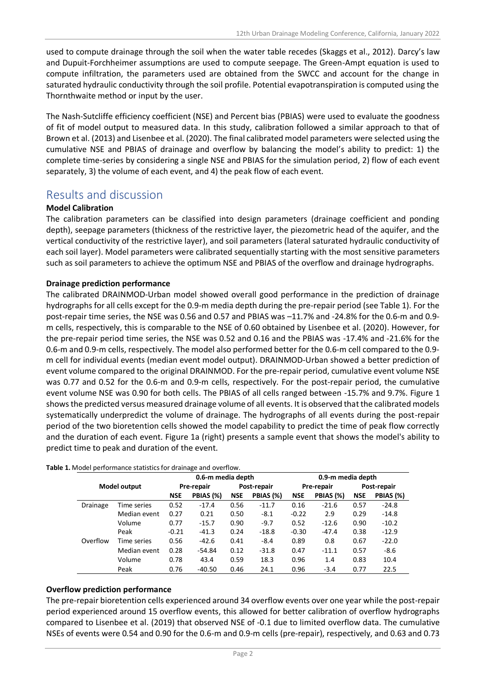used to compute drainage through the soil when the water table recedes (Skaggs et al., 2012). Darcy's law and Dupuit-Forchheimer assumptions are used to compute seepage. The Green-Ampt equation is used to compute infiltration, the parameters used are obtained from the SWCC and account for the change in saturated hydraulic conductivity through the soil profile. Potential evapotranspiration is computed using the Thornthwaite method or input by the user.

The Nash-Sutcliffe efficiency coefficient (NSE) and Percent bias (PBIAS) were used to evaluate the goodness of fit of model output to measured data. In this study, calibration followed a similar approach to that of Brown et al. (2013) and Lisenbee et al. (2020). The final calibrated model parameters were selected using the cumulative NSE and PBIAS of drainage and overflow by balancing the model's ability to predict: 1) the complete time-series by considering a single NSE and PBIAS for the simulation period, 2) flow of each event separately, 3) the volume of each event, and 4) the peak flow of each event.

# Results and discussion

### **Model Calibration**

The calibration parameters can be classified into design parameters (drainage coefficient and ponding depth), seepage parameters (thickness of the restrictive layer, the piezometric head of the aquifer, and the vertical conductivity of the restrictive layer), and soil parameters (lateral saturated hydraulic conductivity of each soil layer). Model parameters were calibrated sequentially starting with the most sensitive parameters such as soil parameters to achieve the optimum NSE and PBIAS of the overflow and drainage hydrographs.

### **Drainage prediction performance**

The calibrated DRAINMOD-Urban model showed overall good performance in the prediction of drainage hydrographs for all cells except for the 0.9-m media depth during the pre-repair period (see Table 1). For the post-repair time series, the NSE was 0.56 and 0.57 and PBIAS was –11.7% and -24.8% for the 0.6-m and 0.9 m cells, respectively, this is comparable to the NSE of 0.60 obtained by Lisenbee et al. (2020). However, for the pre-repair period time series, the NSE was 0.52 and 0.16 and the PBIAS was -17.4% and -21.6% for the 0.6-m and 0.9-m cells, respectively. The model also performed better for the 0.6-m cell compared to the 0.9 m cell for individual events (median event model output). DRAINMOD-Urban showed a better prediction of event volume compared to the original DRAINMOD. For the pre-repair period, cumulative event volume NSE was 0.77 and 0.52 for the 0.6-m and 0.9-m cells, respectively. For the post-repair period, the cumulative event volume NSE was 0.90 for both cells. The PBIAS of all cells ranged between -15.7% and 9.7%. Figure 1 shows the predicted versus measured drainage volume of all events. It is observed that the calibrated models systematically underpredict the volume of drainage. The hydrographs of all events during the post-repair period of the two bioretention cells showed the model capability to predict the time of peak flow correctly and the duration of each event. Figure 1a (right) presents a sample event that shows the model's ability to predict time to peak and duration of the event.

|              |              | 0.6-m media depth |           |             |           | 0.9-m media depth |           |             |           |
|--------------|--------------|-------------------|-----------|-------------|-----------|-------------------|-----------|-------------|-----------|
| Model output |              | Pre-repair        |           | Post-repair |           | <b>Pre-repair</b> |           | Post-repair |           |
|              |              | <b>NSE</b>        | PBIAS (%) | <b>NSE</b>  | PBIAS (%) | <b>NSE</b>        | PBIAS (%) | <b>NSE</b>  | PBIAS (%) |
| Drainage     | Time series  | 0.52              | $-17.4$   | 0.56        | $-11.7$   | 0.16              | $-21.6$   | 0.57        | $-24.8$   |
|              | Median event | 0.27              | 0.21      | 0.50        | $-8.1$    | $-0.22$           | 2.9       | 0.29        | $-14.8$   |
|              | Volume       | 0.77              | $-15.7$   | 0.90        | $-9.7$    | 0.52              | $-12.6$   | 0.90        | $-10.2$   |
|              | Peak         | $-0.21$           | $-41.3$   | 0.24        | $-18.8$   | $-0.30$           | $-47.4$   | 0.38        | $-12.9$   |
| Overflow     | Time series  | 0.56              | $-42.6$   | 0.41        | $-8.4$    | 0.89              | 0.8       | 0.67        | $-22.0$   |
|              | Median event | 0.28              | $-54.84$  | 0.12        | $-31.8$   | 0.47              | $-11.1$   | 0.57        | $-8.6$    |
|              | Volume       | 0.78              | 43.4      | 0.59        | 18.3      | 0.96              | 1.4       | 0.83        | 10.4      |
|              | Peak         | 0.76              | $-40.50$  | 0.46        | 24.1      | 0.96              | $-3.4$    | 0.77        | 22.5      |

**Table 1.** Model performance statistics for drainage and overflow.

#### **Overflow prediction performance**

The pre-repair bioretention cells experienced around 34 overflow events over one year while the post-repair period experienced around 15 overflow events, this allowed for better calibration of overflow hydrographs compared to Lisenbee et al. (2019) that observed NSE of -0.1 due to limited overflow data. The cumulative NSEs of events were 0.54 and 0.90 for the 0.6-m and 0.9-m cells (pre-repair), respectively, and 0.63 and 0.73